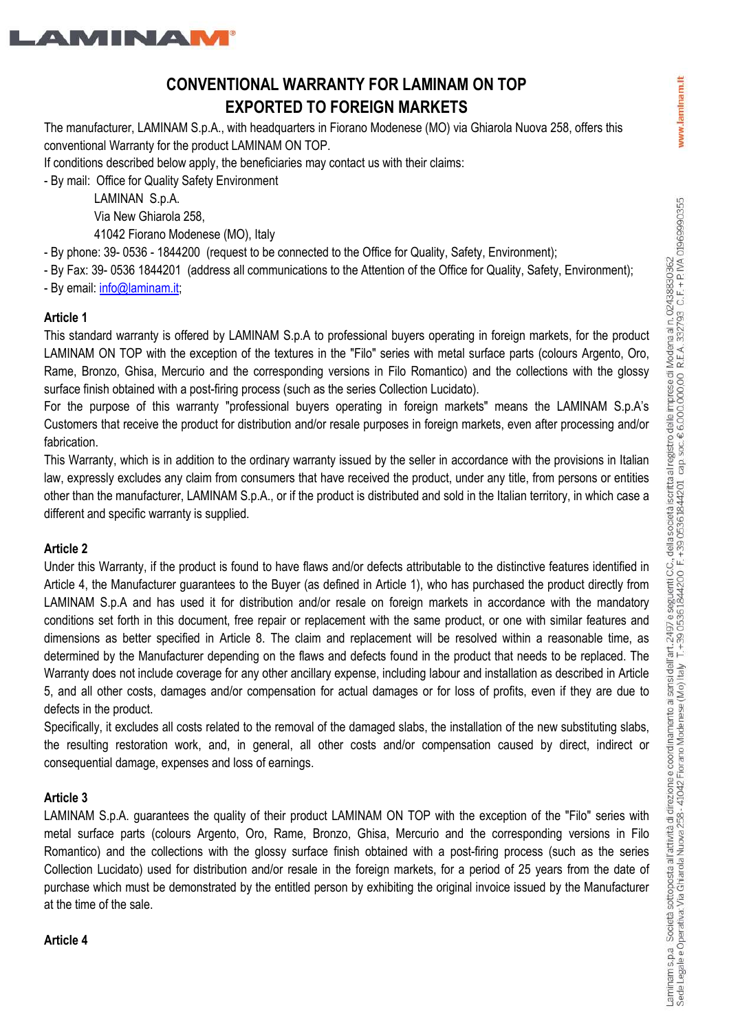

# **CONVENTIONAL WARRANTY FOR LAMINAM ON TOP EXPORTED TO FOREIGN MARKETS**

The manufacturer, LAMINAM S.p.A., with headquarters in Fiorano Modenese (MO) via Ghiarola Nuova 258, offers this conventional Warranty for the product LAMINAM ON TOP.

If conditions described below apply, the beneficiaries may contact us with their claims:

- By mail: Office for Quality Safety Environment

 LAMINAN S.p.A. Via New Ghiarola 258,

41042 Fiorano Modenese (MO), Italy

- By phone: 39- 0536 - 1844200 (request to be connected to the Office for Quality, Safety, Environment);

- By Fax: 39- 0536 1844201 (address all communications to the Attention of the Office for Quality, Safety, Environment);

- By email: info@laminam.it;

### **Article 1**

This standard warranty is offered by LAMINAM S.p.A to professional buyers operating in foreign markets, for the product LAMINAM ON TOP with the exception of the textures in the "Filo" series with metal surface parts (colours Argento, Oro, Rame, Bronzo, Ghisa, Mercurio and the corresponding versions in Filo Romantico) and the collections with the glossy surface finish obtained with a post-firing process (such as the series Collection Lucidato).

For the purpose of this warranty "professional buyers operating in foreign markets" means the LAMINAM S.p.A's Customers that receive the product for distribution and/or resale purposes in foreign markets, even after processing and/or fabrication.

This Warranty, which is in addition to the ordinary warranty issued by the seller in accordance with the provisions in Italian law, expressly excludes any claim from consumers that have received the product, under any title, from persons or entities other than the manufacturer, LAMINAM S.p.A., or if the product is distributed and sold in the Italian territory, in which case a different and specific warranty is supplied.

### **Article 2**

Under this Warranty, if the product is found to have flaws and/or defects attributable to the distinctive features identified in Article 4, the Manufacturer guarantees to the Buyer (as defined in Article 1), who has purchased the product directly from LAMINAM S.p.A and has used it for distribution and/or resale on foreign markets in accordance with the mandatory conditions set forth in this document, free repair or replacement with the same product, or one with similar features and dimensions as better specified in Article 8. The claim and replacement will be resolved within a reasonable time, as determined by the Manufacturer depending on the flaws and defects found in the product that needs to be replaced. The Warranty does not include coverage for any other ancillary expense, including labour and installation as described in Article 5, and all other costs, damages and/or compensation for actual damages or for loss of profits, even if they are due to defects in the product.

Specifically, it excludes all costs related to the removal of the damaged slabs, the installation of the new substituting slabs, the resulting restoration work, and, in general, all other costs and/or compensation caused by direct, indirect or consequential damage, expenses and loss of earnings.

### **Article 3**

LAMINAM S.p.A. guarantees the quality of their product LAMINAM ON TOP with the exception of the "Filo" series with metal surface parts (colours Argento, Oro, Rame, Bronzo, Ghisa, Mercurio and the corresponding versions in Filo Romantico) and the collections with the glossy surface finish obtained with a post-firing process (such as the series Collection Lucidato) used for distribution and/or resale in the foreign markets, for a period of 25 years from the date of purchase which must be demonstrated by the entitled person by exhibiting the original invoice issued by the Manufacturer at the time of the sale.

#### **Article 4**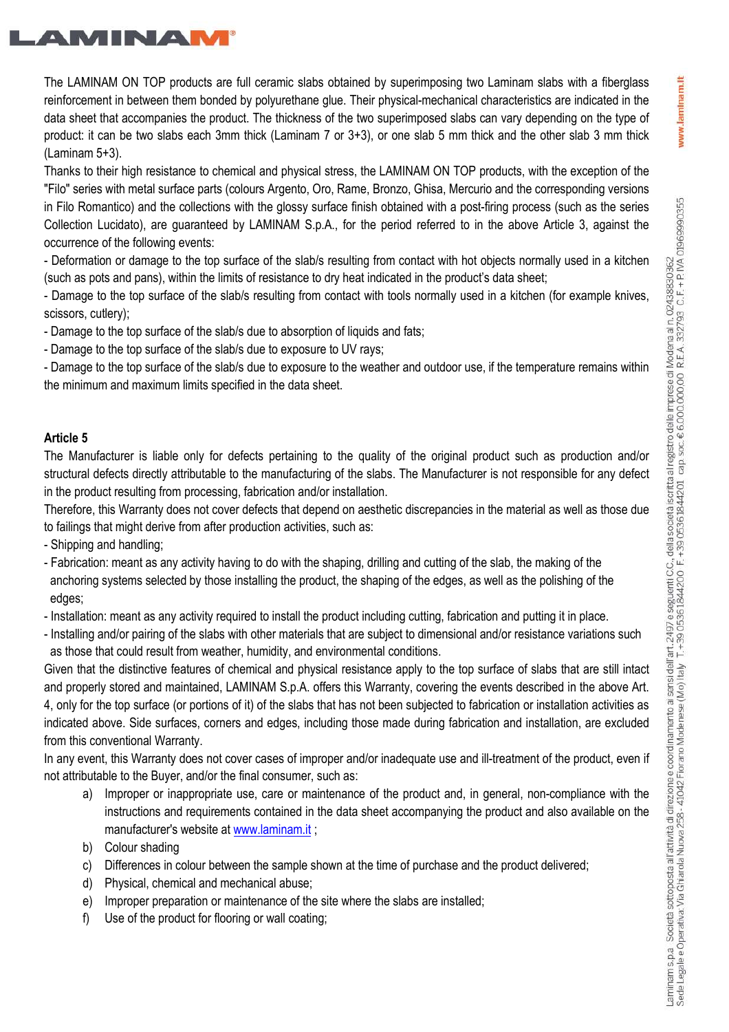www.laminam.lt



The LAMINAM ON TOP products are full ceramic slabs obtained by superimposing two Laminam slabs with a fiberglass reinforcement in between them bonded by polyurethane glue. Their physical-mechanical characteristics are indicated in the data sheet that accompanies the product. The thickness of the two superimposed slabs can vary depending on the type of product: it can be two slabs each 3mm thick (Laminam 7 or 3+3), or one slab 5 mm thick and the other slab 3 mm thick (Laminam 5+3).

Thanks to their high resistance to chemical and physical stress, the LAMINAM ON TOP products, with the exception of the "Filo" series with metal surface parts (colours Argento, Oro, Rame, Bronzo, Ghisa, Mercurio and the corresponding versions in Filo Romantico) and the collections with the glossy surface finish obtained with a post-firing process (such as the series Collection Lucidato), are guaranteed by LAMINAM S.p.A., for the period referred to in the above Article 3, against the occurrence of the following events:

- Deformation or damage to the top surface of the slab/s resulting from contact with hot objects normally used in a kitchen (such as pots and pans), within the limits of resistance to dry heat indicated in the product's data sheet;

- Damage to the top surface of the slab/s resulting from contact with tools normally used in a kitchen (for example knives, scissors, cutlery);

- Damage to the top surface of the slab/s due to absorption of liquids and fats;

- Damage to the top surface of the slab/s due to exposure to UV rays;

- Damage to the top surface of the slab/s due to exposure to the weather and outdoor use, if the temperature remains within the minimum and maximum limits specified in the data sheet.

### **Article 5**

The Manufacturer is liable only for defects pertaining to the quality of the original product such as production and/or structural defects directly attributable to the manufacturing of the slabs. The Manufacturer is not responsible for any defect in the product resulting from processing, fabrication and/or installation.

Therefore, this Warranty does not cover defects that depend on aesthetic discrepancies in the material as well as those due to failings that might derive from after production activities, such as:

- Shipping and handling;

- Fabrication: meant as any activity having to do with the shaping, drilling and cutting of the slab, the making of the anchoring systems selected by those installing the product, the shaping of the edges, as well as the polishing of the edges;
- Installation: meant as any activity required to install the product including cutting, fabrication and putting it in place.
- Installing and/or pairing of the slabs with other materials that are subject to dimensional and/or resistance variations such as those that could result from weather, humidity, and environmental conditions.

Given that the distinctive features of chemical and physical resistance apply to the top surface of slabs that are still intact and properly stored and maintained, LAMINAM S.p.A. offers this Warranty, covering the events described in the above Art. 4, only for the top surface (or portions of it) of the slabs that has not been subjected to fabrication or installation activities as indicated above. Side surfaces, corners and edges, including those made during fabrication and installation, are excluded from this conventional Warranty.

In any event, this Warranty does not cover cases of improper and/or inadequate use and ill-treatment of the product, even if not attributable to the Buyer, and/or the final consumer, such as:

- a) Improper or inappropriate use, care or maintenance of the product and, in general, non-compliance with the instructions and requirements contained in the data sheet accompanying the product and also available on the manufacturer's website at www.laminam.it ;
- b) Colour shading
- c) Differences in colour between the sample shown at the time of purchase and the product delivered;
- d) Physical, chemical and mechanical abuse;
- e) Improper preparation or maintenance of the site where the slabs are installed;
- f) Use of the product for flooring or wall coating;